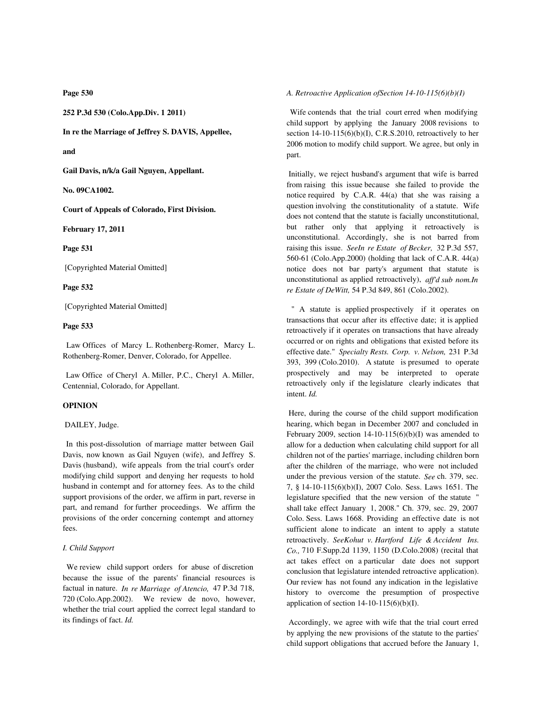**Page 530**

**252 P.3d 530 (Colo.App.Div. 1 2011)**

**In re the Marriage of Jeffrey S. DAVIS, Appellee,**

**and**

**Gail Davis, n/k/a Gail Nguyen, Appellant.**

**No. 09CA1002.**

**Court of Appeals of Colorado, First Division.**

**February 17, 2011**

**Page 531**

[Copyrighted Material Omitted]

**Page 532**

[Copyrighted Material Omitted]

# **Page 533**

 Law Offices of Marcy L. Rothenberg-Romer, Marcy L. Rothenberg-Romer, Denver, Colorado, for Appellee.

 Law Office of Cheryl A. Miller, P.C., Cheryl A. Miller, Centennial, Colorado, for Appellant.

## **OPINION**

DAILEY, Judge.

 In this post-dissolution of marriage matter between Gail Davis, now known as Gail Nguyen (wife), and Jeffrey S. Davis (husband), wife appeals from the trial court's order modifying child support and denying her requests to hold husband in contempt and for attorney fees. As to the child support provisions of the order, we affirm in part, reverse in part, and remand for further proceedings. We affirm the provisions of the order concerning contempt and attorney fees.

#### *I. Child Support*

 We review child support orders for abuse of discretion because the issue of the parents' financial resources is factual in nature. *In re Marriage of Atencio,* 47 P.3d 718, 720 (Colo.App.2002). We review de novo, however, whether the trial court applied the correct legal standard to its findings of fact. *Id.*

### *A. Retroactive Application ofSection 14-10-115(6)(b)(I)*

 Wife contends that the trial court erred when modifying child support by applying the January 2008 revisions to section  $14-10-115(6)(b)(I)$ , C.R.S.2010, retroactively to her 2006 motion to modify child support. We agree, but only in part.

 Initially, we reject husband's argument that wife is barred from raising this issue because she failed to provide the notice required by C.A.R. 44(a) that she was raising a question involving the constitutionality of a statute. Wife does not contend that the statute is facially unconstitutional, but rather only that applying it retroactively is unconstitutional. Accordingly, she is not barred from raising this issue. *SeeIn re Estate of Becker,* 32 P.3d 557, 560-61 (Colo.App.2000) (holding that lack of C.A.R. 44(a) notice does not bar party's argument that statute is unconstitutional as applied retroactively), *aff'd sub nom.In re Estate of DeWitt,* 54 P.3d 849, 861 (Colo.2002).

 " A statute is applied prospectively if it operates on transactions that occur after its effective date; it is applied retroactively if it operates on transactions that have already occurred or on rights and obligations that existed before its effective date." *Specialty Rests. Corp. v. Nelson,* 231 P.3d 393, 399 (Colo.2010). A statute is presumed to operate prospectively and may be interpreted to operate retroactively only if the legislature clearly indicates that intent. *Id.*

 Here, during the course of the child support modification hearing, which began in December 2007 and concluded in February 2009, section  $14-10-115(6)(b)(I)$  was amended to allow for a deduction when calculating child support for all children not of the parties' marriage, including children born after the children of the marriage, who were not included under the previous version of the statute. *See* ch. 379, sec. 7, § 14-10-115(6)(b)(I), 2007 Colo. Sess. Laws 1651. The legislature specified that the new version of the statute " shall take effect January 1, 2008." Ch. 379, sec. 29, 2007 Colo. Sess. Laws 1668. Providing an effective date is not sufficient alone to indicate an intent to apply a statute retroactively. *SeeKohut v. Hartford Life & Accident Ins. Co.,* 710 F.Supp.2d 1139, 1150 (D.Colo.2008) (recital that act takes effect on a particular date does not support conclusion that legislature intended retroactive application). Our review has not found any indication in the legislative history to overcome the presumption of prospective application of section  $14-10-115(6)(b)(I)$ .

 Accordingly, we agree with wife that the trial court erred by applying the new provisions of the statute to the parties' child support obligations that accrued before the January 1,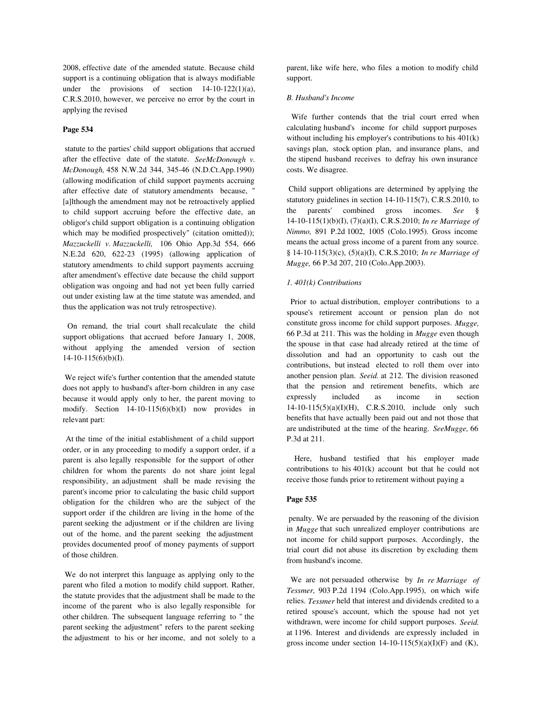2008, effective date of the amended statute. Because child support is a continuing obligation that is always modifiable under the provisions of section  $14-10-122(1)(a)$ , C.R.S.2010, however, we perceive no error by the court in applying the revised

# **Page 534**

 statute to the parties' child support obligations that accrued after the effective date of the statute. *SeeMcDonough v. McDonough,* 458 N.W.2d 344, 345-46 (N.D.Ct.App.1990) (allowing modification of child support payments accruing after effective date of statutory amendments because, " [a]lthough the amendment may not be retroactively applied to child support accruing before the effective date, an obligor's child support obligation is a continuing obligation which may be modified prospectively" (citation omitted)); *Mazzuckelli v. Mazzuckelli,* 106 Ohio App.3d 554, 666 N.E.2d 620, 622-23 (1995) (allowing application of statutory amendments to child support payments accruing after amendment's effective date because the child support obligation was ongoing and had not yet been fully carried out under existing law at the time statute was amended, and thus the application was not truly retrospective).

 On remand, the trial court shall recalculate the child support obligations that accrued before January 1, 2008, without applying the amended version of section  $14-10-115(6)(b)(I).$ 

 We reject wife's further contention that the amended statute does not apply to husband's after-born children in any case because it would apply only to her, the parent moving to modify. Section 14-10-115(6)(b)(I) now provides in relevant part:

 At the time of the initial establishment of a child support order, or in any proceeding to modify a support order, if a parent is also legally responsible for the support of other children for whom the parents do not share joint legal responsibility, an adjustment shall be made revising the parent's income prior to calculating the basic child support obligation for the children who are the subject of the support order if the children are living in the home of the parent seeking the adjustment or if the children are living out of the home, and the parent seeking the adjustment provides documented proof of money payments of support of those children.

 We do not interpret this language as applying only to the parent who filed a motion to modify child support. Rather, the statute provides that the adjustment shall be made to the income of the parent who is also legally responsible for other children. The subsequent language referring to " the parent seeking the adjustment" refers to the parent seeking the adjustment to his or her income, and not solely to a parent, like wife here, who files a motion to modify child support.

### *B. Husband's Income*

 Wife further contends that the trial court erred when calculating husband's income for child support purposes without including his employer's contributions to his 401(k) savings plan, stock option plan, and insurance plans, and the stipend husband receives to defray his own insurance costs. We disagree.

 Child support obligations are determined by applying the statutory guidelines in section 14-10-115(7), C.R.S.2010, to the parents' combined gross incomes. *See* § 14-10-115(1)(b)(I), (7)(a)(I), C.R.S.2010; *In re Marriage of Nimmo,* 891 P.2d 1002, 1005 (Colo.1995). Gross income means the actual gross income of a parent from any source. § 14-10-115(3)(c), (5)(a)(I), C.R.S.2010; *In re Marriage of Mugge,* 66 P.3d 207, 210 (Colo.App.2003).

### *1. 401(k) Contributions*

 Prior to actual distribution, employer contributions to a spouse's retirement account or pension plan do not constitute gross income for child support purposes. *Mugge,* 66 P.3d at 211. This was the holding in *Mugge* even though the spouse in that case had already retired at the time of dissolution and had an opportunity to cash out the contributions, but instead elected to roll them over into another pension plan. *Seeid.* at 212. The division reasoned that the pension and retirement benefits, which are expressly included as income in section 14-10-115(5)(a)(I)(H), C.R.S.2010, include only such benefits that have actually been paid out and not those that are undistributed at the time of the hearing. *SeeMugge,* 66 P.3d at 211.

 Here, husband testified that his employer made contributions to his 401(k) account but that he could not receive those funds prior to retirement without paying a

### **Page 535**

 penalty. We are persuaded by the reasoning of the division in *Mugge* that such unrealized employer contributions are not income for child support purposes. Accordingly, the trial court did not abuse its discretion by excluding them from husband's income.

 We are not persuaded otherwise by *In re Marriage of Tessmer,* 903 P.2d 1194 (Colo.App.1995), on which wife relies. *Tessmer* held that interest and dividends credited to a retired spouse's account, which the spouse had not yet withdrawn, were income for child support purposes. *Seeid.* at 1196. Interest and dividends are expressly included in gross income under section  $14-10-115(5)(a)(I)(F)$  and  $(K)$ ,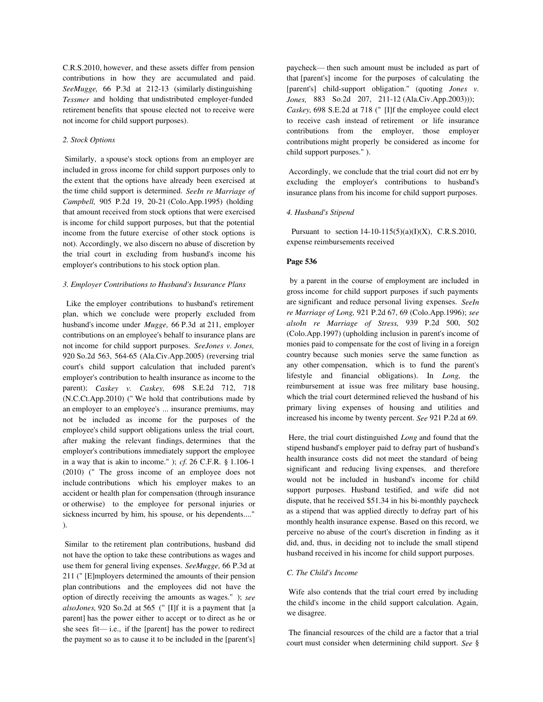C.R.S.2010, however, and these assets differ from pension contributions in how they are accumulated and paid. *SeeMugge,* 66 P.3d at 212-13 (similarly distinguishing *Tessmer* and holding that undistributed employer-funded retirement benefits that spouse elected not to receive were not income for child support purposes).

## *2. Stock Options*

 Similarly, a spouse's stock options from an employer are included in gross income for child support purposes only to the extent that the options have already been exercised at the time child support is determined. *SeeIn re Marriage of Campbell,* 905 P.2d 19, 20-21 (Colo.App.1995) (holding that amount received from stock options that were exercised is income for child support purposes, but that the potential income from the future exercise of other stock options is not). Accordingly, we also discern no abuse of discretion by the trial court in excluding from husband's income his employer's contributions to his stock option plan.

#### *3. Employer Contributions to Husband's Insurance Plans*

 Like the employer contributions to husband's retirement plan, which we conclude were properly excluded from husband's income under *Mugge,* 66 P.3d at 211, employer contributions on an employee's behalf to insurance plans are not income for child support purposes. *SeeJones v. Jones,* 920 So.2d 563, 564-65 (Ala.Civ.App.2005) (reversing trial court's child support calculation that included parent's employer's contribution to health insurance as income to the parent); *Caskey v. Caskey,* 698 S.E.2d 712, 718 (N.C.Ct.App.2010) (" We hold that contributions made by an employer to an employee's ... insurance premiums, may not be included as income for the purposes of the employee's child support obligations unless the trial court, after making the relevant findings, determines that the employer's contributions immediately support the employee in a way that is akin to income." ); *cf.* 26 C.F.R. § 1.106-1 (2010) (" The gross income of an employee does not include contributions which his employer makes to an accident or health plan for compensation (through insurance or otherwise) to the employee for personal injuries or sickness incurred by him, his spouse, or his dependents...." ).

 Similar to the retirement plan contributions, husband did not have the option to take these contributions as wages and use them for general living expenses. *SeeMugge,* 66 P.3d at 211 (" [E]mployers determined the amounts of their pension plan contributions and the employees did not have the option of directly receiving the amounts as wages." ); *see alsoJones,* 920 So.2d at 565 (" [I]f it is a payment that [a parent] has the power either to accept or to direct as he or she sees  $fit$ — i.e., if the [parent] has the power to redirect the payment so as to cause it to be included in the [parent's] paycheck— then such amount must be included as part of that [parent's] income for the purposes of calculating the [parent's] child-support obligation." (quoting *Jones v. Jones,* 883 So.2d 207, 211-12 (Ala.Civ.App.2003))); *Caskey,* 698 S.E.2d at 718 (" [I]f the employee could elect to receive cash instead of retirement or life insurance contributions from the employer, those employer contributions might properly be considered as income for child support purposes." ).

 Accordingly, we conclude that the trial court did not err by excluding the employer's contributions to husband's insurance plans from his income for child support purposes.

### *4. Husband's Stipend*

Pursuant to section  $14-10-115(5)(a)(I)(X)$ , C.R.S.2010, expense reimbursements received

#### **Page 536**

 by a parent in the course of employment are included in gross income for child support purposes if such payments are significant and reduce personal living expenses. *SeeIn re Marriage of Long,* 921 P.2d 67, 69 (Colo.App.1996); *see alsoIn re Marriage of Stress,* 939 P.2d 500, 502 (Colo.App.1997) (upholding inclusion in parent's income of monies paid to compensate for the cost of living in a foreign country because such monies serve the same function as any other compensation, which is to fund the parent's lifestyle and financial obligations). In *Long,* the reimbursement at issue was free military base housing, which the trial court determined relieved the husband of his primary living expenses of housing and utilities and increased his income by twenty percent. *See* 921 P.2d at 69.

 Here, the trial court distinguished *Long* and found that the stipend husband's employer paid to defray part of husband's health insurance costs did not meet the standard of being significant and reducing living expenses, and therefore would not be included in husband's income for child support purposes. Husband testified, and wife did not dispute, that he received \$51.34 in his bi-monthly paycheck as a stipend that was applied directly to defray part of his monthly health insurance expense. Based on this record, we perceive no abuse of the court's discretion in finding as it did, and, thus, in deciding not to include the small stipend husband received in his income for child support purposes.

### *C. The Child's Income*

 Wife also contends that the trial court erred by including the child's income in the child support calculation. Again, we disagree.

 The financial resources of the child are a factor that a trial court must consider when determining child support. *See* §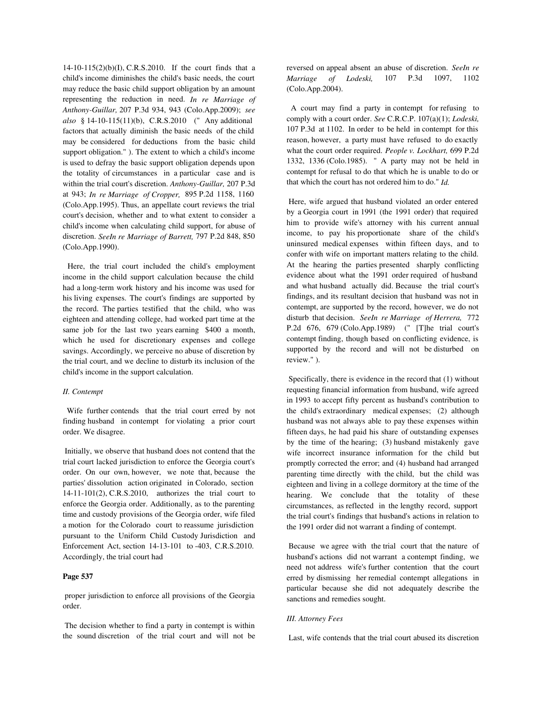$14-10-115(2)(b)(I)$ , C.R.S.2010. If the court finds that a child's income diminishes the child's basic needs, the court may reduce the basic child support obligation by an amount representing the reduction in need. *In re Marriage of Anthony-Guillar,* 207 P.3d 934, 943 (Colo.App.2009); *see also* § 14-10-115(11)(b), C.R.S.2010 (" Any additional factors that actually diminish the basic needs of the child may be considered for deductions from the basic child support obligation." ). The extent to which a child's income is used to defray the basic support obligation depends upon the totality of circumstances in a particular case and is within the trial court's discretion. *Anthony-Guillar,* 207 P.3d at 943; *In re Marriage of Cropper,* 895 P.2d 1158, 1160 (Colo.App.1995). Thus, an appellate court reviews the trial court's decision, whether and to what extent to consider a child's income when calculating child support, for abuse of discretion. *SeeIn re Marriage of Barrett,* 797 P.2d 848, 850 (Colo.App.1990).

 Here, the trial court included the child's employment income in the child support calculation because the child had a long-term work history and his income was used for his living expenses. The court's findings are supported by the record. The parties testified that the child, who was eighteen and attending college, had worked part time at the same job for the last two years earning \$400 a month, which he used for discretionary expenses and college savings. Accordingly, we perceive no abuse of discretion by the trial court, and we decline to disturb its inclusion of the child's income in the support calculation.

### *II. Contempt*

 Wife further contends that the trial court erred by not finding husband in contempt for violating a prior court order. We disagree.

 Initially, we observe that husband does not contend that the trial court lacked jurisdiction to enforce the Georgia court's order. On our own, however, we note that, because the parties' dissolution action originated in Colorado, section 14-11-101(2), C.R.S.2010, authorizes the trial court to enforce the Georgia order. Additionally, as to the parenting time and custody provisions of the Georgia order, wife filed a motion for the Colorado court to reassume jurisdiction pursuant to the Uniform Child Custody Jurisdiction and Enforcement Act, section 14-13-101 to -403, C.R.S.2010. Accordingly, the trial court had

### **Page 537**

 proper jurisdiction to enforce all provisions of the Georgia order.

 The decision whether to find a party in contempt is within the sound discretion of the trial court and will not be reversed on appeal absent an abuse of discretion. *SeeIn re Marriage of Lodeski,* 107 P.3d 1097, 1102 (Colo.App.2004).

 A court may find a party in contempt for refusing to comply with a court order. *See* C.R.C.P. 107(a)(1); *Lodeski,* 107 P.3d at 1102. In order to be held in contempt for this reason, however, a party must have refused to do exactly what the court order required. *People v. Lockhart,* 699 P.2d 1332, 1336 (Colo.1985). " A party may not be held in contempt for refusal to do that which he is unable to do or that which the court has not ordered him to do." *Id.*

 Here, wife argued that husband violated an order entered by a Georgia court in 1991 (the 1991 order) that required him to provide wife's attorney with his current annual income, to pay his proportionate share of the child's uninsured medical expenses within fifteen days, and to confer with wife on important matters relating to the child. At the hearing the parties presented sharply conflicting evidence about what the 1991 order required of husband and what husband actually did. Because the trial court's findings, and its resultant decision that husband was not in contempt, are supported by the record, however, we do not disturb that decision. *SeeIn re Marriage of Herrera,* 772 P.2d 676, 679 (Colo.App.1989) (" [T]he trial court's contempt finding, though based on conflicting evidence, is supported by the record and will not be disturbed on review." ).

 Specifically, there is evidence in the record that (1) without requesting financial information from husband, wife agreed in 1993 to accept fifty percent as husband's contribution to the child's extraordinary medical expenses; (2) although husband was not always able to pay these expenses within fifteen days, he had paid his share of outstanding expenses by the time of the hearing; (3) husband mistakenly gave wife incorrect insurance information for the child but promptly corrected the error; and (4) husband had arranged parenting time directly with the child, but the child was eighteen and living in a college dormitory at the time of the hearing. We conclude that the totality of these circumstances, as reflected in the lengthy record, support the trial court's findings that husband's actions in relation to the 1991 order did not warrant a finding of contempt.

 Because we agree with the trial court that the nature of husband's actions did not warrant a contempt finding, we need not address wife's further contention that the court erred by dismissing her remedial contempt allegations in particular because she did not adequately describe the sanctions and remedies sought.

## *III. Attorney Fees*

Last, wife contends that the trial court abused its discretion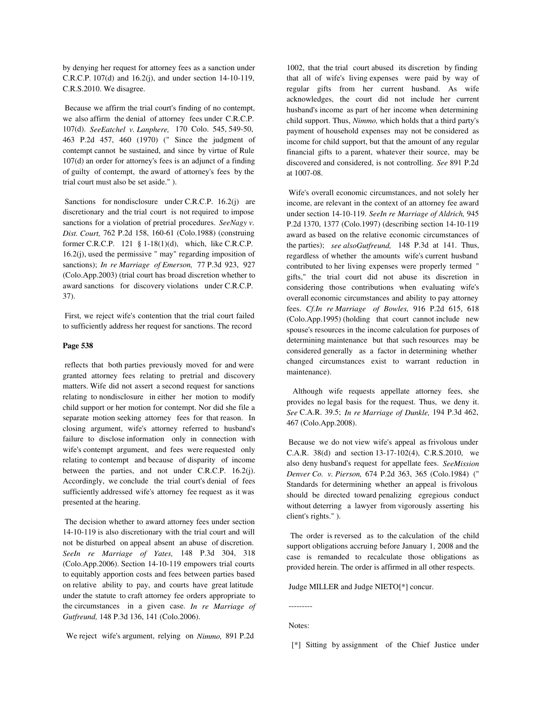by denying her request for attorney fees as a sanction under C.R.C.P. 107(d) and 16.2(j), and under section 14-10-119, C.R.S.2010. We disagree.

 Because we affirm the trial court's finding of no contempt, we also affirm the denial of attorney fees under C.R.C.P. 107(d). *SeeEatchel v. Lanphere,* 170 Colo. 545, 549-50, 463 P.2d 457, 460 (1970) (" Since the judgment of contempt cannot be sustained, and since by virtue of Rule 107(d) an order for attorney's fees is an adjunct of a finding of guilty of contempt, the award of attorney's fees by the trial court must also be set aside." ).

Sanctions for nondisclosure under C.R.C.P. 16.2(j) are discretionary and the trial court is not required to impose sanctions for a violation of pretrial procedures. *SeeNagy v. Dist. Court,* 762 P.2d 158, 160-61 (Colo.1988) (construing former C.R.C.P. 121 § 1-18(1)(d), which, like C.R.C.P. 16.2(j), used the permissive " may" regarding imposition of sanctions); *In re Marriage of Emerson,* 77 P.3d 923, 927 (Colo.App.2003) (trial court has broad discretion whether to award sanctions for discovery violations under C.R.C.P. 37).

 First, we reject wife's contention that the trial court failed to sufficiently address her request for sanctions. The record

## **Page 538**

 reflects that both parties previously moved for and were granted attorney fees relating to pretrial and discovery matters. Wife did not assert a second request for sanctions relating to nondisclosure in either her motion to modify child support or her motion for contempt. Nor did she file a separate motion seeking attorney fees for that reason. In closing argument, wife's attorney referred to husband's failure to disclose information only in connection with wife's contempt argument, and fees were requested only relating to contempt and because of disparity of income between the parties, and not under C.R.C.P. 16.2(j). Accordingly, we conclude the trial court's denial of fees sufficiently addressed wife's attorney fee request as it was presented at the hearing.

 The decision whether to award attorney fees under section 14-10-119 is also discretionary with the trial court and will not be disturbed on appeal absent an abuse of discretion. *SeeIn re Marriage of Yates,* 148 P.3d 304, 318 (Colo.App.2006). Section 14-10-119 empowers trial courts to equitably apportion costs and fees between parties based on relative ability to pay, and courts have great latitude under the statute to craft attorney fee orders appropriate to the circumstances in a given case. *In re Marriage of Gutfreund,* 148 P.3d 136, 141 (Colo.2006).

1002, that the trial court abused its discretion by finding that all of wife's living expenses were paid by way of regular gifts from her current husband. As wife acknowledges, the court did not include her current husband's income as part of her income when determining child support. Thus, *Nimmo,* which holds that a third party's payment of household expenses may not be considered as income for child support, but that the amount of any regular financial gifts to a parent, whatever their source, may be discovered and considered, is not controlling. *See* 891 P.2d at 1007-08.

 Wife's overall economic circumstances, and not solely her income, are relevant in the context of an attorney fee award under section 14-10-119. *SeeIn re Marriage of Aldrich,* 945 P.2d 1370, 1377 (Colo.1997) (describing section 14-10-119 award as based on the relative economic circumstances of the parties); *see alsoGutfreund,* 148 P.3d at 141. Thus, regardless of whether the amounts wife's current husband contributed to her living expenses were properly termed " gifts," the trial court did not abuse its discretion in considering those contributions when evaluating wife's overall economic circumstances and ability to pay attorney fees. *Cf.In re Marriage of Bowles,* 916 P.2d 615, 618 (Colo.App.1995) (holding that court cannot include new spouse's resources in the income calculation for purposes of determining maintenance but that such resources may be considered generally as a factor in determining whether changed circumstances exist to warrant reduction in maintenance).

 Although wife requests appellate attorney fees, she provides no legal basis for the request. Thus, we deny it. *See* C.A.R. 39.5; *In re Marriage of Dunkle,* 194 P.3d 462, 467 (Colo.App.2008).

 Because we do not view wife's appeal as frivolous under C.A.R. 38(d) and section 13-17-102(4), C.R.S.2010, we also deny husband's request for appellate fees. *SeeMission Denver Co. v. Pierson,* 674 P.2d 363, 365 (Colo.1984) (" Standards for determining whether an appeal is frivolous should be directed toward penalizing egregious conduct without deterring a lawyer from vigorously asserting his client's rights." ).

 The order is reversed as to the calculation of the child support obligations accruing before January 1, 2008 and the case is remanded to recalculate those obligations as provided herein. The order is affirmed in all other respects.

Judge MILLER and Judge NIETO[\*] concur.

 --------- Notes:

We reject wife's argument, relying on *Nimmo,* 891 P.2d

[\*] Sitting by assignment of the Chief Justice under